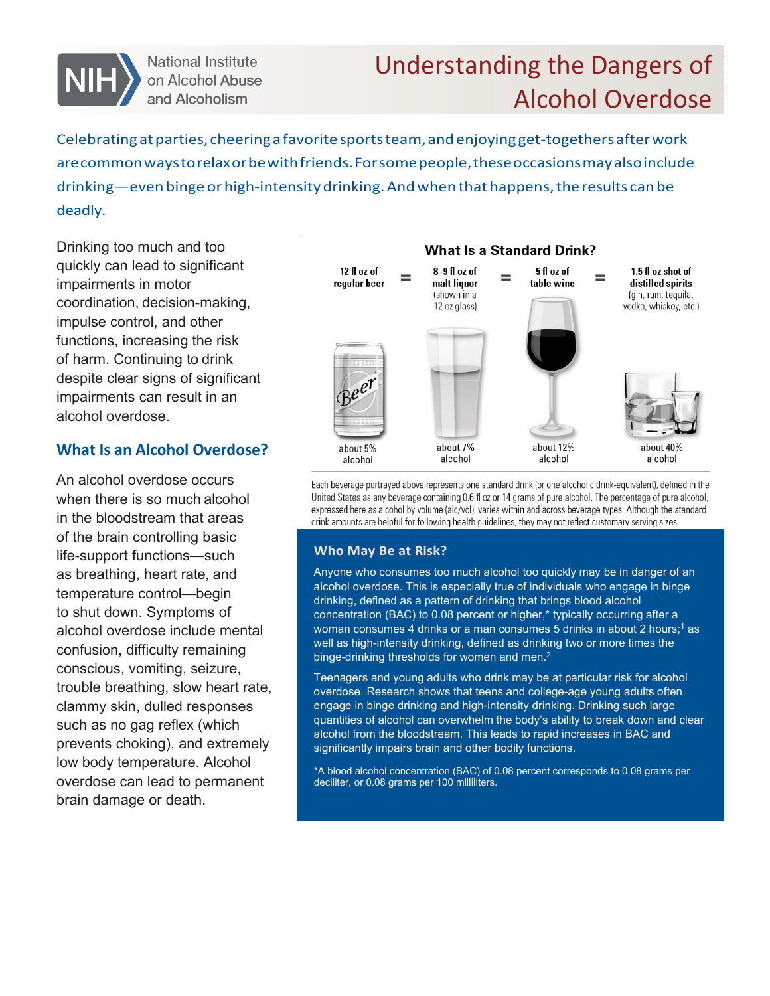

National Institute on Alcohol Abuse and Alcoholism

# Understanding the Dangers of Alcohol Overdose

Celebrating at parties, cheering a favorite sports team, and enjoying get-togethers after work arecommonwaystorelaxorbe with friends.Forsomepeople,theseoccasionsmayalso include drinking—even binge or high-intensity drinking. And when that happens, the results can be deadly.

Drinking too much and too quickly can lead to significant impairments in motor coordination, decision-making, impulse control, and other functions, increasing the risk of harm. Continuing to drink despite clear signs of significant impairments can result in an alcohol overdose.

## **What Is an Alcohol Overdose?**

An alcohol overdose occurs when there is so much alcohol in the bloodstream that areas of the brain controlling basic life-support functions—such as breathing, heart rate, and temperature control—begin to shut down. Symptoms of alcohol overdose include mental confusion, difficulty remaining conscious, vomiting, seizure, trouble breathing, slow heart rate, clammy skin, dulled responses such as no gag reflex (which prevents choking), and extremely low body temperature. Alcohol overdose can lead to permanent brain damage or death.



Each beverage portrayed above represents one standard drink (or one alcoholic drink-equivalent), defined in the United States as any beverage containing 0.6 fl oz or 14 grams of pure alcohol. The percentage of pure alcohol, expressed here as alcohol by volume (alc/vol), varies within and across beverage types. Although the standard drink amounts are helpful for following health guidelines, they may not reflect customary serving sizes.

#### **Who May Be at Risk?**

Anyone who consumes too much alcohol too quickly may be in danger of an alcohol overdose. This is especially true of individuals who engage in binge drinking, defined as a pattern of drinking that brings blood alcohol concentration (BAC) to 0.08 percent or higher,\* typically occurring after a woman consumes 4 drinks or a man consumes 5 drinks in about 2 hours;<sup>1</sup> as well as high-intensity drinking, defined as drinking two or more times the binge-drinking thresholds for women and men.<sup>2</sup>

Teenagers and young adults who drink may be at particular risk for alcohol overdose. Research shows that teens and college-age young adults often engage in binge drinking and high-intensity drinking. Drinking such large quantities of alcohol can overwhelm the body's ability to break down and clear alcohol from the bloodstream. This leads to rapid increases in BAC and significantly impairs brain and other bodily functions.

\*A blood alcohol concentration (BAC) of 0.08 percent corresponds to 0.08 grams per deciliter, or 0.08 grams per 100 milliliters.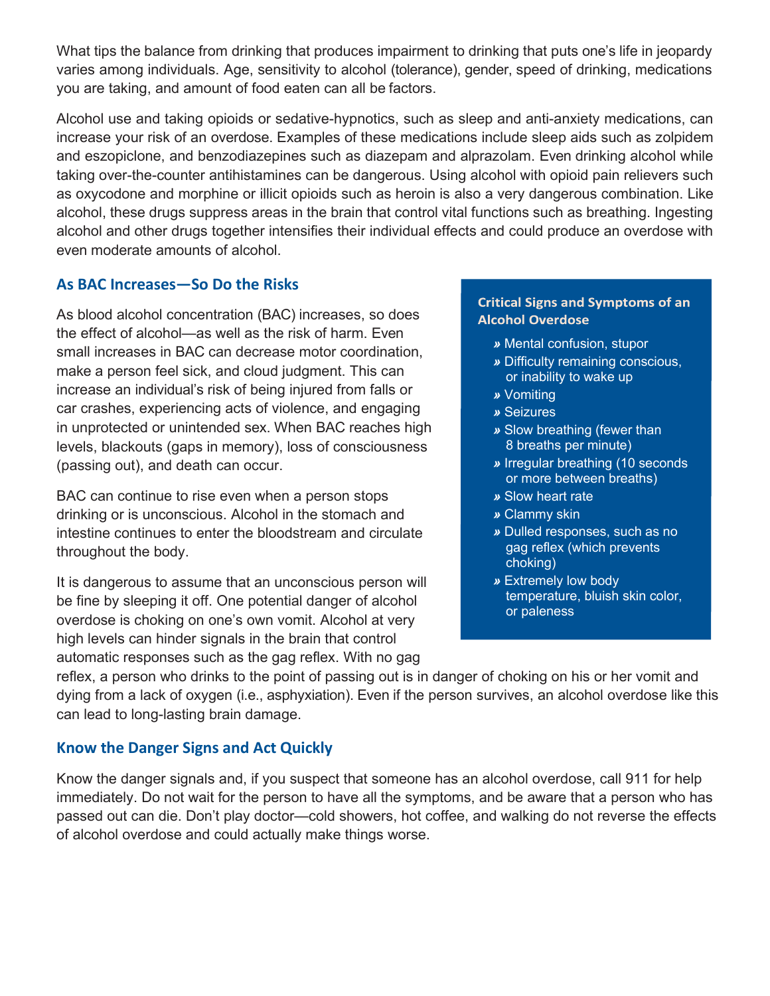What tips the balance from drinking that produces impairment to drinking that puts one's life in jeopardy varies among individuals. Age, sensitivity to alcohol (tolerance), gender, speed of drinking, medications you are taking, and amount of food eaten can all be factors.

Alcohol use and taking opioids or sedative-hypnotics, such as sleep and anti-anxiety medications, can increase your risk of an overdose. Examples of these medications include sleep aids such as zolpidem and eszopiclone, and benzodiazepines such as diazepam and alprazolam. Even drinking alcohol while taking over-the-counter antihistamines can be dangerous. Using alcohol with opioid pain relievers such as oxycodone and morphine or illicit opioids such as heroin is also a very dangerous combination. Like alcohol, these drugs suppress areas in the brain that control vital functions such as breathing. Ingesting alcohol and other drugs together intensifies their individual effects and could produce an overdose with even moderate amounts of alcohol.

## **As BAC Increases—So Do the Risks**

As blood alcohol concentration (BAC) increases, so does the effect of alcohol—as well as the risk of harm. Even small increases in BAC can decrease motor coordination, make a person feel sick, and cloud judgment. This can increase an individual's risk of being injured from falls or car crashes, experiencing acts of violence, and engaging in unprotected or unintended sex. When BAC reaches high levels, blackouts (gaps in memory), loss of consciousness (passing out), and death can occur.

BAC can continue to rise even when a person stops drinking or is unconscious. Alcohol in the stomach and intestine continues to enter the bloodstream and circulate throughout the body.

It is dangerous to assume that an unconscious person will be fine by sleeping it off. One potential danger of alcohol overdose is choking on one's own vomit. Alcohol at very high levels can hinder signals in the brain that control automatic responses such as the gag reflex. With no gag

#### **Critical Signs and Symptoms of an Alcohol Overdose**

- *»* Mental confusion, stupor
- *»* Difficulty remaining conscious, or inability to wake up
- *»* Vomiting
- *»* Seizures
- *»* Slow breathing (fewer than 8 breaths per minute)
- *»* Irregular breathing (10 seconds or more between breaths)
- *»* Slow heart rate
- *»* Clammy skin
- *»* Dulled responses, such as no gag reflex (which prevents choking)
- *»* Extremely low body temperature, bluish skin color, or paleness

reflex, a person who drinks to the point of passing out is in danger of choking on his or her vomit and dying from a lack of oxygen (i.e., asphyxiation). Even if the person survives, an alcohol overdose like this can lead to long-lasting brain damage.

### **Know the Danger Signs and Act Quickly**

Know the danger signals and, if you suspect that someone has an alcohol overdose, call 911 for help immediately. Do not wait for the person to have all the symptoms, and be aware that a person who has passed out can die. Don't play doctor—cold showers, hot coffee, and walking do not reverse the effects of alcohol overdose and could actually make things worse.